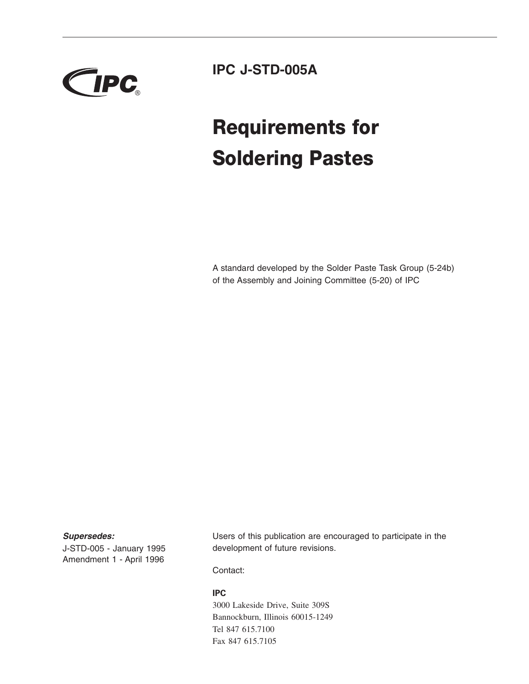

**IPC J-STD-005A**

# **Requirements for Soldering Pastes**

A standard developed by the Solder Paste Task Group (5-24b) of the Assembly and Joining Committee (5-20) of IPC

### *Supersedes:*

J-STD-005 - January 1995 Amendment 1 - April 1996 Users of this publication are encouraged to participate in the development of future revisions.

Contact:

#### **IPC**

3000 Lakeside Drive, Suite 309S Bannockburn, Illinois 60015-1249 Tel 847 615.7100 Fax 847 615.7105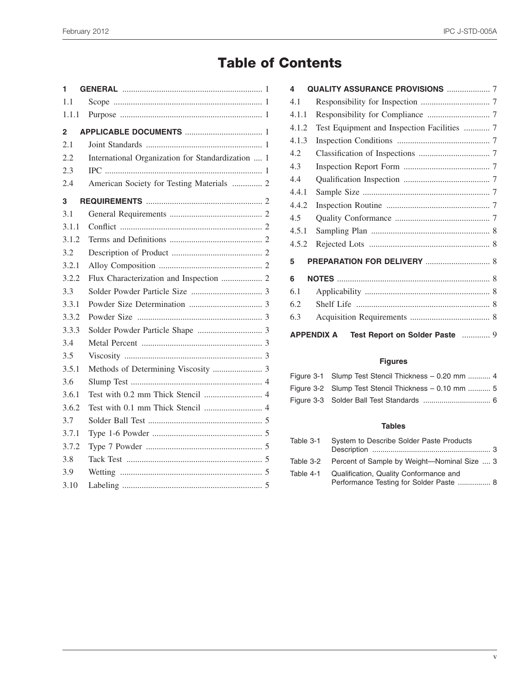# **Table of Contents**

| 1     |                                                   |  |
|-------|---------------------------------------------------|--|
| 1.1   |                                                   |  |
| 1.1.1 |                                                   |  |
| 2     |                                                   |  |
| 2.1   |                                                   |  |
| 2.2   | International Organization for Standardization  1 |  |
| 2.3   |                                                   |  |
| 2.4   | American Society for Testing Materials  2         |  |
| 3     |                                                   |  |
| 3.1   |                                                   |  |
| 3.1.1 |                                                   |  |
| 3.1.2 |                                                   |  |
| 3.2   |                                                   |  |
| 3.2.1 |                                                   |  |
| 3.2.2 |                                                   |  |
| 3.3   |                                                   |  |
| 3.3.1 |                                                   |  |
| 3.3.2 |                                                   |  |
| 3.3.3 |                                                   |  |
| 3.4   |                                                   |  |
| 3.5   |                                                   |  |
| 3.5.1 |                                                   |  |
| 3.6   |                                                   |  |
| 3.6.1 |                                                   |  |
| 3.6.2 |                                                   |  |
| 3.7   |                                                   |  |
| 3.7.1 |                                                   |  |
| 3.7.2 |                                                   |  |
| 3.8   |                                                   |  |
| 3.9   |                                                   |  |
| 3.10  |                                                   |  |

| <b>QUALITY ASSURANCE PROVISIONS  7</b><br>4         |                                             |  |
|-----------------------------------------------------|---------------------------------------------|--|
| 4.1                                                 |                                             |  |
| 4.1.1                                               |                                             |  |
| 4.1.2                                               | Test Equipment and Inspection Facilities  7 |  |
| 4.1.3                                               |                                             |  |
| 4.2                                                 |                                             |  |
| 4.3                                                 |                                             |  |
| 4.4                                                 |                                             |  |
| 4.4.1                                               |                                             |  |
| 4.4.2                                               |                                             |  |
| 4.5                                                 |                                             |  |
| 4.5.1                                               |                                             |  |
| 4.5.2                                               |                                             |  |
| 5                                                   |                                             |  |
| 6                                                   |                                             |  |
| 6.1                                                 |                                             |  |
| 6.2                                                 |                                             |  |
| 6.3                                                 |                                             |  |
| Test Report on Solder Paste  9<br><b>APPENDIX A</b> |                                             |  |

## **Figures**

| Figure 3-1 Slump Test Stencil Thickness – 0.20 mm  4 |
|------------------------------------------------------|
| Figure 3-2 Slump Test Stencil Thickness – 0.10 mm  5 |
|                                                      |

## **Tables**

| Table 3-1 | System to Describe Solder Paste Products              |
|-----------|-------------------------------------------------------|
|           | Table 3-2 Percent of Sample by Weight-Nominal Size  3 |
| Table 4-1 | Qualification, Quality Conformance and                |
|           | Performance Testing for Solder Paste  8               |